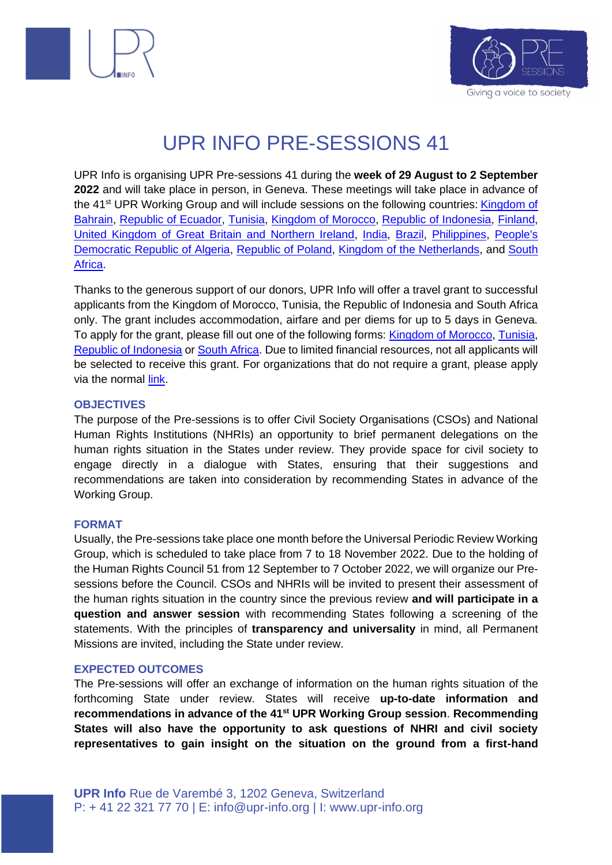



# UPR INFO PRE-SESSIONS 41

UPR Info is organising UPR Pre-sessions 41 during the **week of 29 August to 2 September 2022** and will take place in person, in Geneva. These meetings will take place in advance of the 41<sup>st</sup> UPR Working Group and will include sessions on the following countries: **Kingdom of** [Bahrain,](https://upr-info.org/en/review/bahrain) [Republic of Ecuador,](https://upr-info.org/en/review/ecuador) [Tunisia,](https://upr-info.org/en/review/tunisia) [Kingdom of Morocco,](https://upr-info.org/en/review/morocco) [Republic of Indonesia,](https://upr-info.org/en/review/indonesia) [Finland,](https://upr-info.org/en/review/finland) [United Kingdom of Great Britain and Northern Ireland,](https://upr-info.org/en/review/united-kingdom) [India,](https://upr-info.org/en/review/india) [Brazil,](https://upr-info.org/en/review/brazil) [Philippines,](https://upr-info.org/en/review/philippines) [People's](https://upr-info.org/en/review/algeria)  [Democratic Republic of Algeria,](https://upr-info.org/en/review/algeria) [Republic of Poland,](https://upr-info.org/en/review/poland) [Kingdom of the Netherlands,](https://upr-info.org/en/review/netherlands) and [South](https://upr-info.org/en/review/south-africa)  [Africa.](https://upr-info.org/en/review/south-africa)

Thanks to the generous support of our donors, UPR Info will offer a travel grant to successful applicants from the Kingdom of Morocco, Tunisia, the Republic of Indonesia and South Africa only. The grant includes accommodation, airfare and per diems for up to 5 days in Geneva. To apply for the grant, please fill out one of the following forms: [Kingdom of Morocco, Tunisia,](https://form.jotform.com/221353990092355) [Republic of Indonesia](https://form.jotform.com/221353951308352) or [South Africa.](https://form.jotform.com/221353951308352) Due to limited financial resources, not all applicants will be selected to receive this grant. For organizations that do not require a grant, please apply via the normal [link.](https://form.jotform.com/221351737520348)

#### **OBJECTIVES**

The purpose of the Pre-sessions is to offer Civil Society Organisations (CSOs) and National Human Rights Institutions (NHRIs) an opportunity to brief permanent delegations on the human rights situation in the States under review. They provide space for civil society to engage directly in a dialogue with States, ensuring that their suggestions and recommendations are taken into consideration by recommending States in advance of the Working Group.

#### **FORMAT**

Usually, the Pre-sessions take place one month before the Universal Periodic Review Working Group, which is scheduled to take place from 7 to 18 November 2022. Due to the holding of the Human Rights Council 51 from 12 September to 7 October 2022, we will organize our Presessions before the Council. CSOs and NHRIs will be invited to present their assessment of the human rights situation in the country since the previous review **and will participate in a question and answer session** with recommending States following a screening of the statements. With the principles of **transparency and universality** in mind, all Permanent Missions are invited, including the State under review.

#### **EXPECTED OUTCOMES**

The Pre-sessions will offer an exchange of information on the human rights situation of the forthcoming State under review. States will receive **up-to-date information and recommendations in advance of the 41 st UPR Working Group session**. **Recommending States will also have the opportunity to ask questions of NHRI and civil society representatives to gain insight on the situation on the ground from a first-hand**